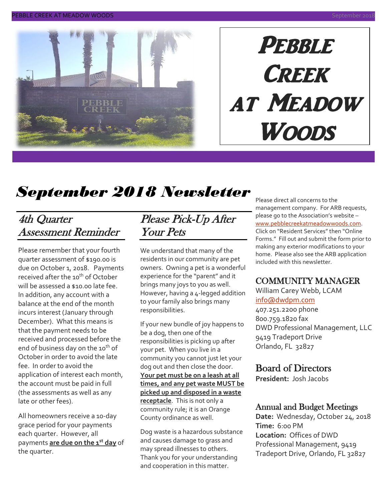

# **PEBBLE CREEK** at Meadow Woods

# *September 2018 Newsletter*

### 4th Quarter Assessment Reminder

Please remember that your fourth quarter assessment of \$190.00 is due on October 1, 2018. Payments received after the 10<sup>th</sup> of October will be assessed a \$10.00 late fee. In addition, any account with a balance at the end of the month incurs interest (January through December). What this means is that the payment needs to be received and processed before the end of business day on the 10<sup>th</sup> of October in order to avoid the late fee. In order to avoid the application of interest each month, the account must be paid in full (the assessments as well as any late or other fees).

All homeowners receive a 10-day grace period for your payments each quarter. However, all payments **are due on the 1st day** of the quarter.

### Please Pick-Up After Your Pets

We understand that many of the residents in our community are pet owners. Owning a pet is a wonderful experience for the "parent" and it brings many joys to you as well. However, having a 4-legged addition to your family also brings many responsibilities.

If your new bundle of joy happens to be a dog, then one of the responsibilities is picking up after your pet. When you live in a community you cannot just let your dog out and then close the door. **Your pet must be on a leash at all times, and any pet waste MUST be picked up and disposed in a waste receptacle**. This is not only a community rule; it is an Orange County ordinance as well.

Dog waste is a hazardous substance and causes damage to grass and may spread illnesses to others. Thank you for your understanding and cooperation in this matter.

Please direct all concerns to the management company. For ARB requests, please go to the Association's website – [www.pebblecreekatmeadowwoods.com.](http://www.pebblecreekatmeadowwoods.com/) Click on "Resident Services" then "Online Forms." Fill out and submit the form prior to making any exterior modifications to your home. Please also see the ARB application included with this newsletter.

### COMMUNITY MANAGER

William Carey Webb, LCAM [info@dwdpm.com](mailto:info@dwdpm.com)  407.251.2200 phone

800.759.1820 fax DWD Professional Management, LLC 9419 Tradeport Drive Orlando, FL 32827

### Board of Directors

**President:** Josh Jacobs

### Annual and Budget Meetings

**Date:** Wednesday, October 24, 2018 **Time:** 6:00 PM **Location:** Offices of DWD Professional Management, 9419 Tradeport Drive, Orlando, FL 32827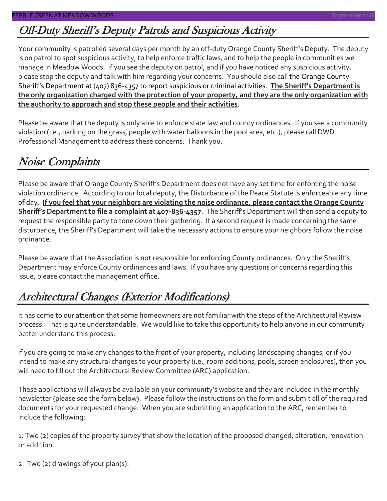# Off-Duty Sheriff's Deputy Patrols and Suspicious Activity

Your community is patrolled several days per month by an off-duty Orange County Sheriff's Deputy. The deputy is on patrol to spot suspicious activity, to help enforce traffic laws, and to help the people in communities we manage in Meadow Woods. If you see the deputy on patrol, and if you have noticed any suspicious activity, please stop the deputy and talk with him regarding your concerns. You should also call the Orange County Sheriff's Department at (407) 836-4357 to report suspicious or criminal activities. **The Sheriff's Department is the only organization charged with the protection of your property, and they are the only organization with the authority to approach and stop these people and their activities**.

Please be aware that the deputy is only able to enforce state law and county ordinances. If you see a community violation (i.e., parking on the grass, people with water balloons in the pool area, etc.), please call DWD Professional Management to address these concerns. Thank you.

### Noise Complaints

Please be aware that Orange County Sheriff's Department does not have any set time for enforcing the noise violation ordinance. According to our local deputy, the Disturbance of the Peace Statute is enforceable any time of day. **If you feel that your neighbors are violating the noise ordinance, please contact the Orange County Sheriff's Department to file a complaint at 407-836-4357**. The Sheriff's Department will then send a deputy to request the responsible party to tone down their gathering. If a second request is made concerning the same disturbance, the Sheriff's Department will take the necessary actions to ensure your neighbors follow the noise ordinance.

Please be aware that the Association is not responsible for enforcing County ordinances. Only the Sheriff's Department may enforce County ordinances and laws. If you have any questions or concerns regarding this issue, please contact the management office.

# Architectural Changes (Exterior Modifications)

It has come to our attention that some homeowners are not familiar with the steps of the Architectural Review process. That is quite understandable. We would like to take this opportunity to help anyone in our community better understand this process.

If you are going to make any changes to the front of your property, including landscaping changes, or if you intend to make any structural changes to your property (i.e., room additions, pools, screen enclosures), then you will need to fill out the Architectural Review Committee (ARC) application.

These applications will always be available on your community's website and they are included in the monthly newsletter (please see the form below). Please follow the instructions on the form and submit all of the required documents for your requested change. When you are submitting an application to the ARC, remember to include the following:

1. Two (2) copies of the property survey that show the location of the proposed changed, alteration, renovation or addition.

2. Two (2) drawings of your plan(s).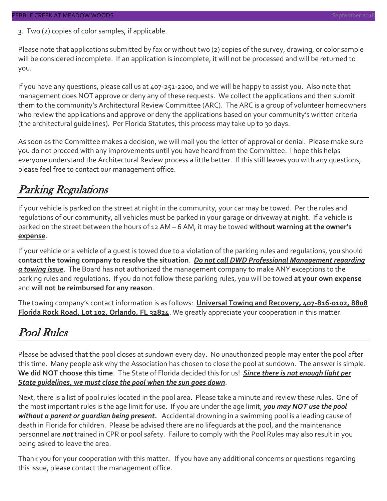3. Two (2) copies of color samples, if applicable.

Please note that applications submitted by fax or without two (2) copies of the survey, drawing, or color sample will be considered incomplete. If an application is incomplete, it will not be processed and will be returned to you.

If you have any questions, please call us at 407-251-2200, and we will be happy to assist you. Also note that management does NOT approve or deny any of these requests. We collect the applications and then submit them to the community's Architectural Review Committee (ARC). The ARC is a group of volunteer homeowners who review the applications and approve or deny the applications based on your community's written criteria (the architectural guidelines). Per Florida Statutes, this process may take up to 30 days.

As soon as the Committee makes a decision, we will mail you the letter of approval or denial. Please make sure you do not proceed with any improvements until you have heard from the Committee. I hope this helps everyone understand the Architectural Review process a little better. If this still leaves you with any questions, please feel free to contact our management office.

# Parking Regulations

If your vehicle is parked on the street at night in the community, your car may be towed. Per the rules and regulations of our community, all vehicles must be parked in your garage or driveway at night. If a vehicle is parked on the street between the hours of 12 AM – 6 AM, it may be towed **without warning at the owner's expense**.

If your vehicle or a vehicle of a guest is towed due to a violation of the parking rules and regulations, you should **contact the towing company to resolve the situation**. *Do not call DWD Professional Management regarding a towing issue*. The Board has not authorized the management company to make ANY exceptions to the parking rules and regulations. If you do not follow these parking rules, you will be towed **at your own expense** and **will not be reimbursed for any reason**.

The towing company's contact information is as follows: **Universal Towing and Recovery, 407-816-0102, 8808 Florida Rock Road, Lot 102, Orlando, FL 32824**. We greatly appreciate your cooperation in this matter.

# Pool Rules

Please be advised that the pool closes at sundown every day. No unauthorized people may enter the pool after this time. Many people ask why the Association has chosen to close the pool at sundown. The answer is simple. **We did NOT choose this time**. The State of Florida decided this for us! *Since there is not enough light per State guidelines, we must close the pool when the sun goes down*.

Next, there is a list of pool rules located in the pool area. Please take a minute and review these rules. One of the most important rules is the age limit for use. If you are under the age limit, *you may NOT use the pool without a parent or guardian being present.* Accidental drowning in a swimming pool is a leading cause of death in Florida for children. Please be advised there are no lifeguards at the pool, and the maintenance personnel are *not* trained in CPR or pool safety. Failure to comply with the Pool Rules may also result in you being asked to leave the area.

Thank you for your cooperation with this matter. If you have any additional concerns or questions regarding this issue, please contact the management office.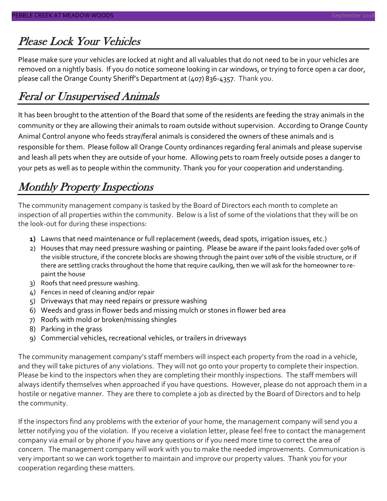# Please Lock Your Vehicles

Please make sure your vehicles are locked at night and all valuables that do not need to be in your vehicles are removed on a nightly basis. If you do notice someone looking in car windows, or trying to force open a car door, please call the Orange County Sheriff's Department at (407) 836-4357. Thank you.

# Feral or Unsupervised Animals

It has been brought to the attention of the Board that some of the residents are feeding the stray animals in the community or they are allowing their animals to roam outside without supervision. According to Orange County Animal Control anyone who feeds stray/feral animals is considered the owners of these animals and is responsible for them. Please follow all Orange County ordinances regarding feral animals and please supervise and leash all pets when they are outside of your home. Allowing pets to roam freely outside poses a danger to your pets as well as to people within the community. Thank you for your cooperation and understanding.

# Monthly Property Inspections

The community management company is tasked by the Board of Directors each month to complete an inspection of all properties within the community. Below is a list of some of the violations that they will be on the look-out for during these inspections:

- **1)** Lawns that need maintenance or full replacement (weeds, dead spots, irrigation issues, etc.)
- 2) Houses that may need pressure washing or painting. Please be aware if the paint looks faded over 50% of the visible structure, if the concrete blocks are showing through the paint over 10% of the visible structure, or if there are settling cracks throughout the home that require caulking, then we will ask for the homeowner to repaint the house
- 3) Roofs that need pressure washing.
- 4) Fences in need of cleaning and/or repair
- 5) Driveways that may need repairs or pressure washing
- 6) Weeds and grass in flower beds and missing mulch or stones in flower bed area
- 7) Roofs with mold or broken/missing shingles
- 8) Parking in the grass
- 9) Commercial vehicles, recreational vehicles, or trailers in driveways

The community management company's staff members will inspect each property from the road in a vehicle, and they will take pictures of any violations. They will not go onto your property to complete their inspection. Please be kind to the inspectors when they are completing their monthly inspections. The staff members will always identify themselves when approached if you have questions. However, please do not approach them in a hostile or negative manner. They are there to complete a job as directed by the Board of Directors and to help the community.

If the inspectors find any problems with the exterior of your home, the management company will send you a letter notifying you of the violation. If you receive a violation letter, please feel free to contact the management company via email or by phone if you have any questions or if you need more time to correct the area of concern. The management company will work with you to make the needed improvements. Communication is very important so we can work together to maintain and improve our property values. Thank you for your cooperation regarding these matters.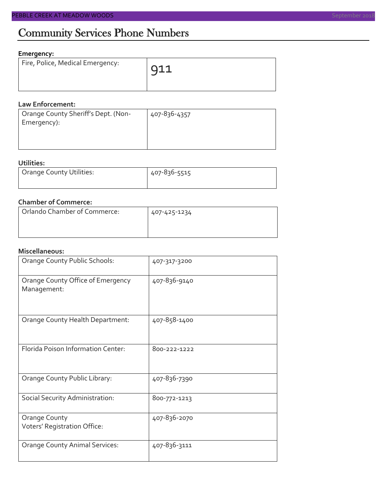# Community Services Phone Numbers

### **Emergency:**

| Fire, Police, Medical Emergency: | $\bigcap$ 11 |
|----------------------------------|--------------|
|                                  |              |

### **Law Enforcement:**

| Orange County Sheriff's Dept. (Non-<br>Emergency): | 407-836-4357 |
|----------------------------------------------------|--------------|
|                                                    |              |

### **Utilities:**

| Orange County Utilities: | 407-836-5515 |  |  |
|--------------------------|--------------|--|--|
|                          |              |  |  |

### **Chamber of Commerce:**

| Orlando Chamber of Commerce: | 407-425-1234 |  |  |
|------------------------------|--------------|--|--|
|                              |              |  |  |

### **Miscellaneous:**

| Orange County Public Schools:                    | 407-317-3200 |
|--------------------------------------------------|--------------|
| Orange County Office of Emergency<br>Management: | 407-836-9140 |
| Orange County Health Department:                 | 407-858-1400 |
| Florida Poison Information Center:               | 800-222-1222 |
| Orange County Public Library:                    | 407-836-7390 |
| Social Security Administration:                  | 800-772-1213 |
| Orange County<br>Voters' Registration Office:    | 407-836-2070 |
| <b>Orange County Animal Services:</b>            | 407-836-3111 |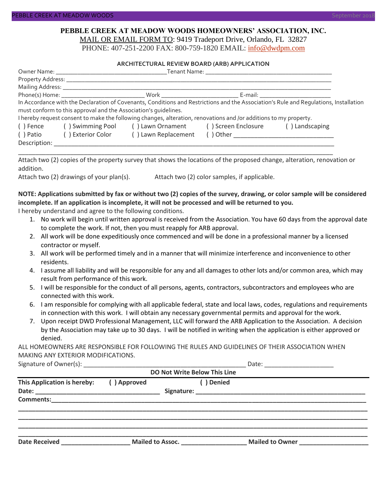#### **PEBBLE CREEK AT MEADOW WOODS HOMEOWNERS' ASSOCIATION, INC.** MAIL OR EMAIL FORM TO: 9419 Tradeport Drive, Orlando, FL 32827

PHONE: 407-251-2200 FAX: 800-759-1820 EMAIL: [info@dwdpm.com](mailto:info@dwdpm.com)

#### **ARCHITECTURAL REVIEW BOARD (ARB) APPLICATION**

|                                                                   |                                                                 |                                                                                                                   |  | In Accordance with the Declaration of Covenants, Conditions and Restrictions and the Association's Rule and Requlations, Installation |  |
|-------------------------------------------------------------------|-----------------------------------------------------------------|-------------------------------------------------------------------------------------------------------------------|--|---------------------------------------------------------------------------------------------------------------------------------------|--|
|                                                                   | must conform to this approval and the Association's quidelines. |                                                                                                                   |  |                                                                                                                                       |  |
|                                                                   |                                                                 | I hereby request consent to make the following changes, alteration, renovations and /or additions to my property. |  |                                                                                                                                       |  |
| () Swimming Pool () Lawn Ornament () Screen Enclosure<br>() Fence |                                                                 |                                                                                                                   |  | () Landscaping                                                                                                                        |  |
| ( ) Patio                                                         | ( ) Exterior Color                                              | () Lawn Replacement                                                                                               |  |                                                                                                                                       |  |
| Description:                                                      |                                                                 |                                                                                                                   |  |                                                                                                                                       |  |

Attach two (2) copies of the property survey that shows the locations of the proposed change, alteration, renovation or addition.

\_\_\_\_\_\_\_\_\_\_\_\_\_\_\_\_\_\_\_\_\_\_\_\_\_\_\_\_\_\_\_\_\_\_\_\_\_\_\_\_\_\_\_\_\_\_\_\_\_\_\_\_\_\_\_\_\_\_\_\_\_\_\_\_\_\_\_\_\_\_\_\_\_\_\_\_\_\_\_\_\_\_\_\_\_\_\_\_\_\_\_

Attach two (2) drawings of your plan(s). Attach two (2) color samples, if applicable.

#### **NOTE: Applications submitted by fax or without two (2) copies of the survey, drawing, or color sample will be considered incomplete. If an application is incomplete, it will not be processed and will be returned to you.**

I hereby understand and agree to the following conditions.

- 1. No work will begin until written approval is received from the Association. You have 60 days from the approval date to complete the work. If not, then you must reapply for ARB approval.
- 2. All work will be done expeditiously once commenced and will be done in a professional manner by a licensed contractor or myself.
- 3. All work will be performed timely and in a manner that will minimize interference and inconvenience to other residents.
- 4. I assume all liability and will be responsible for any and all damages to other lots and/or common area, which may result from performance of this work.
- 5. I will be responsible for the conduct of all persons, agents, contractors, subcontractors and employees who are connected with this work.
- 6. I am responsible for complying with all applicable federal, state and local laws, codes, regulations and requirements in connection with this work. I will obtain any necessary governmental permits and approval for the work.
- 7. Upon receipt DWD Professional Management, LLC will forward the ARB Application to the Association. A decision by the Association may take up to 30 days. I will be notified in writing when the application is either approved or denied.

ALL HOMEOWNERS ARE RESPONSIBLE FOR FOLLOWING THE RULES AND GUIDELINES OF THEIR ASSOCIATION WHEN MAKING ANY EXTERIOR MODIFICATIONS.

Signature of Owner(s):  $\Box$ 

| <b>DO Not Write Below This Line</b> |             |                  |            |                        |  |
|-------------------------------------|-------------|------------------|------------|------------------------|--|
| This Application is hereby:         | () Approved |                  | ( ) Denied |                        |  |
| <b>Comments:</b>                    |             |                  |            |                        |  |
| <b>Date Received</b>                |             | Mailed to Assoc. |            | <b>Mailed to Owner</b> |  |